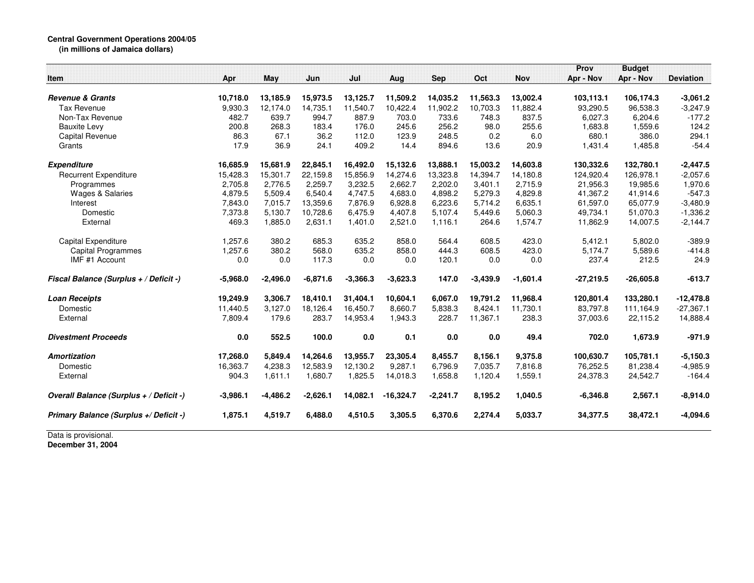## **Central Government Operations 2004/05 (in millions of Jamaica dollars)**

|                                         |            |            |            |            |             |            |            |            | Prov        | <b>Budget</b> |                  |
|-----------------------------------------|------------|------------|------------|------------|-------------|------------|------------|------------|-------------|---------------|------------------|
| Item                                    | Apr        | May        | Jun        | Jul        | Aug         | <b>Sep</b> | Oct        | <b>Nov</b> | Apr - Nov   | Apr - Nov     | <b>Deviation</b> |
| <b>Revenue &amp; Grants</b>             | 10,718.0   | 13,185.9   | 15,973.5   | 13,125.7   | 11,509.2    | 14,035.2   | 11,563.3   | 13,002.4   | 103,113.1   | 106,174.3     | $-3,061.2$       |
| Tax Revenue                             | 9,930.3    | 12,174.0   | 14,735.1   | 11,540.7   | 10,422.4    | 11,902.2   | 10,703.3   | 11,882.4   | 93,290.5    | 96,538.3      | $-3,247.9$       |
| Non-Tax Revenue                         | 482.7      | 639.7      | 994.7      | 887.9      | 703.0       | 733.6      | 748.3      | 837.5      | 6,027.3     | 6,204.6       | $-177.2$         |
| <b>Bauxite Levy</b>                     | 200.8      | 268.3      | 183.4      | 176.0      | 245.6       | 256.2      | 98.0       | 255.6      | 1,683.8     | 1,559.6       | 124.2            |
| Capital Revenue                         | 86.3       | 67.1       | 36.2       | 112.0      | 123.9       | 248.5      | 0.2        | 6.0        | 680.1       | 386.0         | 294.1            |
| Grants                                  | 17.9       | 36.9       | 24.1       | 409.2      | 14.4        | 894.6      | 13.6       | 20.9       | 1,431.4     | 1,485.8       | $-54.4$          |
|                                         |            |            |            |            |             |            |            |            |             |               |                  |
| Expenditure                             | 16,685.9   | 15,681.9   | 22,845.1   | 16,492.0   | 15,132.6    | 13,888.1   | 15,003.2   | 14,603.8   | 130,332.6   | 132,780.1     | $-2,447.5$       |
| <b>Recurrent Expenditure</b>            | 15,428.3   | 15.301.7   | 22.159.8   | 15.856.9   | 14,274.6    | 13,323.8   | 14.394.7   | 14.180.8   | 124,920.4   | 126,978.1     | $-2,057.6$       |
| Programmes                              | 2,705.8    | 2.776.5    | 2,259.7    | 3,232.5    | 2,662.7     | 2,202.0    | 3,401.1    | 2,715.9    | 21,956.3    | 19,985.6      | 1,970.6          |
| <b>Wages &amp; Salaries</b>             | 4,879.5    | 5,509.4    | 6,540.4    | 4,747.5    | 4,683.0     | 4,898.2    | 5,279.3    | 4,829.8    | 41,367.2    | 41,914.6      | $-547.3$         |
| Interest                                | 7,843.0    | 7,015.7    | 13,359.6   | 7,876.9    | 6,928.8     | 6,223.6    | 5,714.2    | 6,635.1    | 61,597.0    | 65,077.9      | $-3,480.9$       |
| Domestic                                | 7,373.8    | 5,130.7    | 10,728.6   | 6,475.9    | 4,407.8     | 5,107.4    | 5,449.6    | 5,060.3    | 49,734.1    | 51,070.3      | $-1,336.2$       |
| External                                | 469.3      | 1,885.0    | 2,631.1    | 1,401.0    | 2,521.0     | 1,116.1    | 264.6      | 1,574.7    | 11,862.9    | 14,007.5      | $-2,144.7$       |
| <b>Capital Expenditure</b>              | 1,257.6    | 380.2      | 685.3      | 635.2      | 858.0       | 564.4      | 608.5      | 423.0      | 5,412.1     | 5,802.0       | $-389.9$         |
| <b>Capital Programmes</b>               | 1,257.6    | 380.2      | 568.0      | 635.2      | 858.0       | 444.3      | 608.5      | 423.0      | 5.174.7     | 5,589.6       | $-414.8$         |
| IMF #1 Account                          | 0.0        | 0.0        | 117.3      | 0.0        | 0.0         | 120.1      | 0.0        | 0.0        | 237.4       | 212.5         | 24.9             |
| Fiscal Balance (Surplus + / Deficit -)  | $-5,968.0$ | $-2,496.0$ | $-6,871.6$ | $-3,366.3$ | $-3,623.3$  | 147.0      | $-3,439.9$ | $-1,601.4$ | $-27,219.5$ | $-26,605.8$   | $-613.7$         |
| <b>Loan Receipts</b>                    | 19,249.9   | 3,306.7    | 18,410.1   | 31,404.1   | 10,604.1    | 6,067.0    | 19,791.2   | 11,968.4   | 120,801.4   | 133,280.1     | $-12,478.8$      |
| Domestic                                | 11,440.5   | 3,127.0    | 18.126.4   | 16.450.7   | 8.660.7     | 5,838.3    | 8.424.1    | 11.730.1   | 83,797.8    | 111,164.9     | $-27,367.1$      |
| External                                | 7,809.4    | 179.6      | 283.7      | 14,953.4   | 1,943.3     | 228.7      | 11,367.1   | 238.3      | 37,003.6    | 22,115.2      | 14,888.4         |
| <b>Divestment Proceeds</b>              | 0.0        | 552.5      | 100.0      | 0.0        | 0.1         | 0.0        | 0.0        | 49.4       | 702.0       | 1,673.9       | $-971.9$         |
| <b>Amortization</b>                     | 17,268.0   | 5,849.4    | 14,264.6   | 13,955.7   | 23,305.4    | 8,455.7    | 8,156.1    | 9,375.8    | 100,630.7   | 105,781.1     | $-5,150.3$       |
| Domestic                                | 16,363.7   | 4,238.3    | 12,583.9   | 12,130.2   | 9,287.1     | 6,796.9    | 7,035.7    | 7,816.8    | 76,252.5    | 81,238.4      | $-4,985.9$       |
| External                                | 904.3      | 1,611.1    | 1,680.7    | 1,825.5    | 14,018.3    | 1,658.8    | 1,120.4    | 1,559.1    | 24,378.3    | 24,542.7      | $-164.4$         |
| Overall Balance (Surplus + / Deficit -) | $-3,986.1$ | $-4,486.2$ | $-2,626.1$ | 14,082.1   | $-16,324.7$ | $-2,241.7$ | 8,195.2    | 1,040.5    | $-6,346.8$  | 2,567.1       | $-8,914.0$       |
| Primary Balance (Surplus +/ Deficit -)  | 1,875.1    | 4,519.7    | 6,488.0    | 4,510.5    | 3,305.5     | 6,370.6    | 2,274.4    | 5,033.7    | 34,377.5    | 38,472.1      | $-4,094.6$       |

Data is provisional. **December 31, 2004**